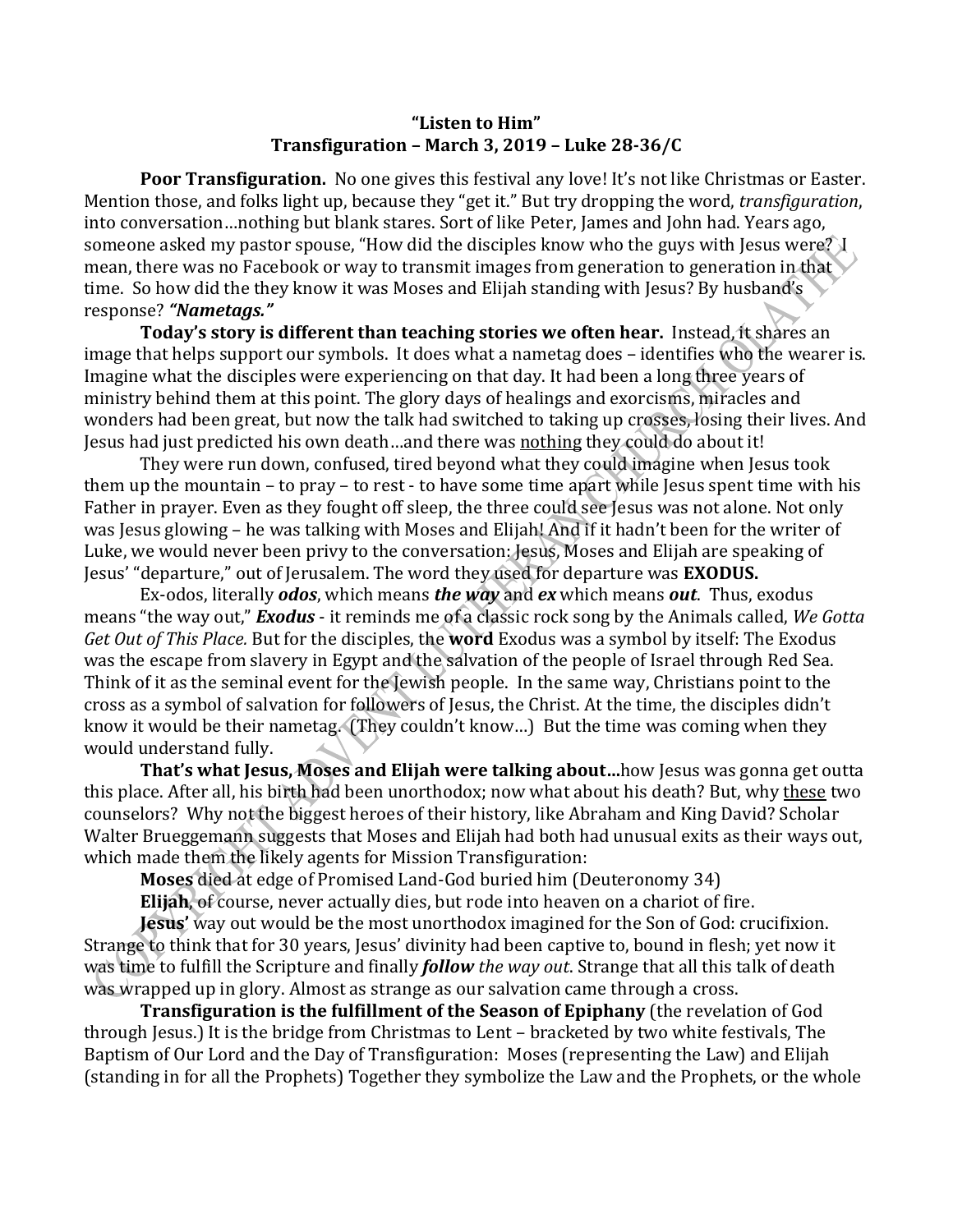## **"Listen to Him" Transfiguration – March 3, 2019 – Luke 28-36/C**

Poor Transfiguration. No one gives this festival any love! It's not like Christmas or Easter. Mention those, and folks light up, because they "get it." But try dropping the word, *transfiguration*, into conversation…nothing but blank stares. Sort of like Peter, James and John had. Years ago, someone asked my pastor spouse, "How did the disciples know who the guys with Jesus were? I mean, there was no Facebook or way to transmit images from generation to generation in that time. So how did the they know it was Moses and Elijah standing with Jesus? By husband's response? *"Nametags."*

**Today's story is different than teaching stories we often hear.** Instead, it shares an image that helps support our symbols. It does what a nametag does – identifies who the wearer is. Imagine what the disciples were experiencing on that day. It had been a long three years of ministry behind them at this point. The glory days of healings and exorcisms, miracles and wonders had been great, but now the talk had switched to taking up crosses, losing their lives. And Jesus had just predicted his own death…and there was nothing they could do about it!

They were run down, confused, tired beyond what they could imagine when Jesus took them up the mountain – to pray – to rest - to have some time apart while Jesus spent time with his Father in prayer. Even as they fought off sleep, the three could see Jesus was not alone. Not only was Jesus glowing – he was talking with Moses and Elijah! And if it hadn't been for the writer of Luke, we would never been privy to the conversation: Jesus, Moses and Elijah are speaking of Jesus' "departure," out of Jerusalem. The word they used for departure was **EXODUS.**

Ex-odos, literally *odos*, which means *the way* and *ex* which means *out*. Thus, exodus means "the way out," *Exodus* - it reminds me of a classic rock song by the Animals called, *We Gotta Get Out of This Place.* But for the disciples, the **word** Exodus was a symbol by itself: The Exodus was the escape from slavery in Egypt and the salvation of the people of Israel through Red Sea. Think of it as the seminal event for the Jewish people. In the same way, Christians point to the cross as a symbol of salvation for followers of Jesus, the Christ. At the time, the disciples didn't know it would be their nametag. (They couldn't know…) But the time was coming when they would understand fully.

**That's what Jesus, Moses and Elijah were talking about…**how Jesus was gonna get outta this place. After all, his birth had been unorthodox; now what about his death? But, why these two counselors? Why not the biggest heroes of their history, like Abraham and King David? Scholar Walter Brueggemann suggests that Moses and Elijah had both had unusual exits as their ways out, which made them the likely agents for Mission Transfiguration:

**Moses** died at edge of Promised Land-God buried him (Deuteronomy 34)

**Elijah**, of course, never actually dies, but rode into heaven on a chariot of fire.

**Jesus'** way out would be the most unorthodox imagined for the Son of God: crucifixion. Strange to think that for 30 years, Jesus' divinity had been captive to, bound in flesh; yet now it was time to fulfill the Scripture and finally *follow the way out*. Strange that all this talk of death was wrapped up in glory. Almost as strange as our salvation came through a cross.

**Transfiguration is the fulfillment of the Season of Epiphany** (the revelation of God through Jesus.) It is the bridge from Christmas to Lent – bracketed by two white festivals, The Baptism of Our Lord and the Day of Transfiguration: Moses (representing the Law) and Elijah (standing in for all the Prophets) Together they symbolize the Law and the Prophets, or the whole